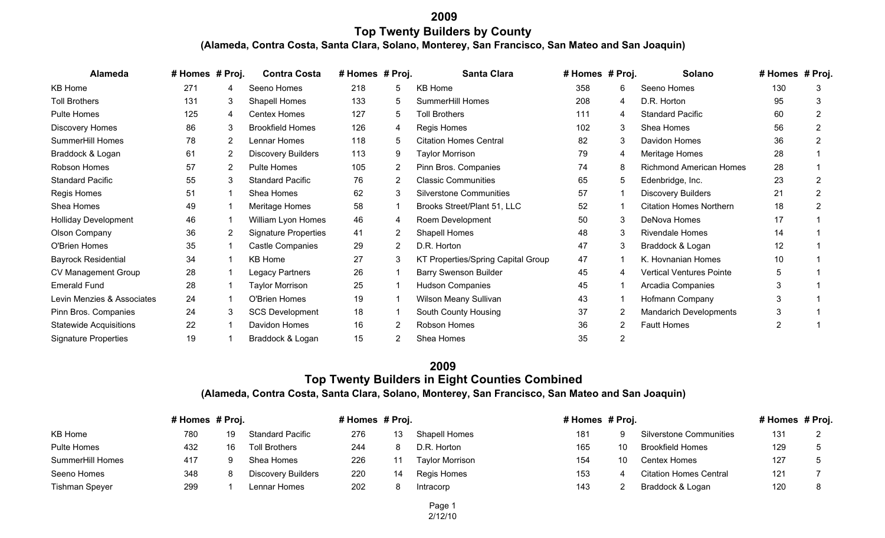## **2009 Top Twenty Builders by County(Alameda, Contra Costa, Santa Clara, Solano, Monterey, San Francisco, San Mateo and San Joaquin)**

| Alameda                       | # Homes # Proj. |   | <b>Contra Costa</b>         | # Homes # Proj. |                       | <b>Santa Clara</b>                 | # Homes # Proj. |                | Solano                          | # Homes # Proj. |   |
|-------------------------------|-----------------|---|-----------------------------|-----------------|-----------------------|------------------------------------|-----------------|----------------|---------------------------------|-----------------|---|
| KB Home                       | 271             | 4 | Seeno Homes                 | 218             | 5                     | KB Home                            | 358             | 6              | Seeno Homes                     | 130             | 3 |
| <b>Toll Brothers</b>          | 131             | 3 | Shapell Homes               | 133             | 5.                    | SummerHill Homes                   | 208             | 4              | D.R. Horton                     | 95              |   |
| Pulte Homes                   | 125             | 4 | <b>Centex Homes</b>         | 127             | 5                     | <b>Toll Brothers</b>               | 111             | 4              | <b>Standard Pacific</b>         | 60              |   |
| <b>Discovery Homes</b>        | 86              | 3 | <b>Brookfield Homes</b>     | 126             | 4                     | Regis Homes                        | 102             | 3              | Shea Homes                      | 56              |   |
| SummerHill Homes              | 78              | 2 | Lennar Homes                | 118             | 5.                    | <b>Citation Homes Central</b>      | 82              | 3              | Davidon Homes                   | 36              |   |
| Braddock & Logan              | 61              | 2 | <b>Discovery Builders</b>   | 113             | 9                     | Taylor Morrison                    | 79              | 4              | Meritage Homes                  | 28              |   |
| Robson Homes                  | 57              | 2 | <b>Pulte Homes</b>          | 105             | 2                     | Pinn Bros. Companies               | 74              | 8              | Richmond American Homes         | 28              |   |
| <b>Standard Pacific</b>       | 55              | 3 | <b>Standard Pacific</b>     | 76              | 2                     | <b>Classic Communities</b>         | 65              | 5              | Edenbridge, Inc.                | 23              |   |
| Regis Homes                   | 51              |   | Shea Homes                  | 62              | 3                     | <b>Silverstone Communities</b>     | 57              |                | Discovery Builders              | 21              |   |
| Shea Homes                    | 49              |   | Meritage Homes              | 58              |                       | Brooks Street/Plant 51, LLC        | 52              |                | <b>Citation Homes Northern</b>  | 18              |   |
| <b>Holliday Development</b>   | 46              |   | William Lyon Homes          | 46              | 4                     | Roem Development                   | 50              | 3              | DeNova Homes                    | 17              |   |
| Olson Company                 | 36              | 2 | <b>Signature Properties</b> | 41              | 2                     | Shapell Homes                      | 48              | 3              | <b>Rivendale Homes</b>          | 14              |   |
| O'Brien Homes                 | 35              |   | Castle Companies            | 29              | $\mathbf{2}^{\prime}$ | D.R. Horton                        | 47              | 3              | Braddock & Logan                | 12              |   |
| <b>Bayrock Residential</b>    | 34              |   | <b>KB Home</b>              | 27              | 3                     | KT Properties/Spring Capital Group | 47              |                | K. Hovnanian Homes              | 10              |   |
| CV Management Group           | 28              |   | Legacy Partners             | 26              |                       | <b>Barry Swenson Builder</b>       | 45              | 4              | <b>Vertical Ventures Pointe</b> |                 |   |
| <b>Emerald Fund</b>           | 28              |   | Taylor Morrison             | 25              |                       | <b>Hudson Companies</b>            | 45              |                | Arcadia Companies               |                 |   |
| Levin Menzies & Associates    | 24              |   | O'Brien Homes               | 19              |                       | Wilson Meany Sullivan              | 43              |                | Hofmann Company                 |                 |   |
| Pinn Bros. Companies          | 24              | 3 | <b>SCS Development</b>      | 18              |                       | South County Housing               | 37              | 2              | <b>Mandarich Developments</b>   |                 |   |
| <b>Statewide Acquisitions</b> | 22              |   | Davidon Homes               | 16              |                       | Robson Homes                       | 36              | $\overline{2}$ | <b>Fautt Homes</b>              |                 |   |
| <b>Signature Properties</b>   | 19              |   | Braddock & Logan            | 15              |                       | Shea Homes                         | 35              | 2              |                                 |                 |   |

## **2009 Top Twenty Builders in Eight Counties Combined(Alameda, Contra Costa, Santa Clara, Solano, Monterey, San Francisco, San Mateo and San Joaquin)**

|                       | # Homes # Proj. |    |                         | # Homes # Proj. |    |                 | # Homes # Proj. |    |                                | # Homes # Proj. |  |
|-----------------------|-----------------|----|-------------------------|-----------------|----|-----------------|-----------------|----|--------------------------------|-----------------|--|
| KB Home               | 780             | 19 | <b>Standard Pacific</b> | 276             |    | Shapell Homes   | 181             |    | <b>Silverstone Communities</b> | 131             |  |
| <b>Pulte Homes</b>    | 432             | 16 | <b>Toll Brothers</b>    | 244             |    | D.R. Horton     | 165             | 10 | <b>Brookfield Homes</b>        | 129             |  |
| SummerHill Homes      | 417             |    | Shea Homes              | 226             |    | Taylor Morrison | 154             | 10 | Centex Homes                   | 127             |  |
| Seeno Homes           | 348             |    | Discovery Builders      | 220             | 14 | Regis Homes     | 153             |    | <b>Citation Homes Central</b>  | 121             |  |
| <b>Tishman Speyer</b> | 299             |    | Lennar Homes            | 202             |    | Intracorp       | 143             |    | Braddock & Logan               | 120             |  |

Page 12/12/10